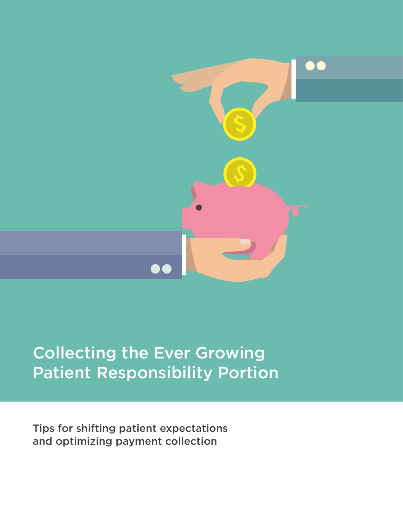

# Collecting the Ever Growing Patient Responsibility Portion

Tips for shifting patient expectations and optimizing payment collection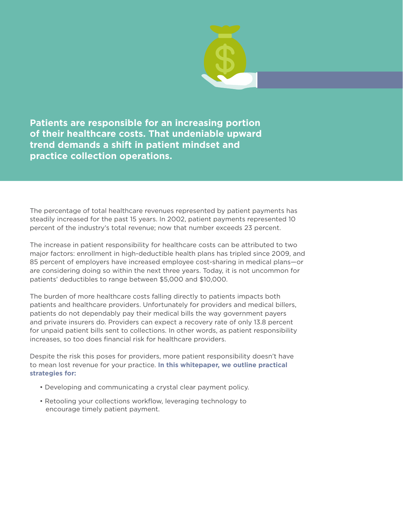**Patients are responsible for an increasing portion of their healthcare costs. That undeniable upward trend demands a shift in patient mindset and practice collection operations.**

The percentage of total healthcare revenues represented by patient payments has steadily increased for the past 15 years. In 2002, patient payments represented 10 percent of the industry's total revenue; now that number exceeds 23 percent.

The increase in patient responsibility for healthcare costs can be attributed to two major factors: enrollment in high-deductible health plans has tripled since 2009, and 85 percent of employers have increased employee cost-sharing in medical plans—or are considering doing so within the next three years. Today, it is not uncommon for patients' deductibles to range between \$5,000 and \$10,000.

The burden of more healthcare costs falling directly to patients impacts both patients and healthcare providers. Unfortunately for providers and medical billers, patients do not dependably pay their medical bills the way government payers and private insurers do. Providers can expect a recovery rate of only 13.8 percent for unpaid patient bills sent to collections. In other words, as patient responsibility increases, so too does financial risk for healthcare providers.

Despite the risk this poses for providers, more patient responsibility doesn't have to mean lost revenue for your practice. **In this whitepaper, we outline practical strategies for:**

- Developing and communicating a crystal clear payment policy.
- Retooling your collections workflow, leveraging technology to encourage timely patient payment.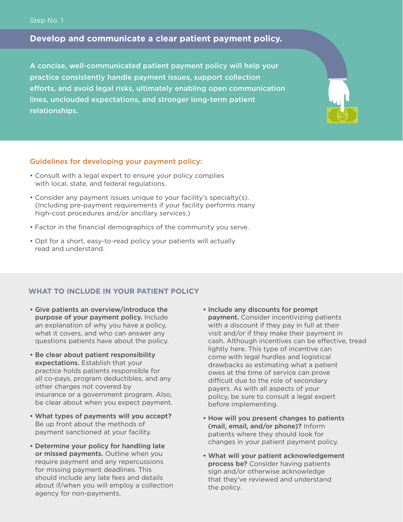## **Develop and communicate a clear patient payment policy.**

A concise, well-communicated patient payment policy will help your practice consistently handle payment issues, support collection efforts, and avoid legal risks, ultimately enabling open communication lines, unclouded expectations, and stronger long-term patient relationships.

## Guidelines for developing your payment policy:

- Consult with a legal expert to ensure your policy complies with local, state, and federal regulations.
- Consider any payment issues unique to your facility's specialty(s). (Including pre-payment requirements if your facility performs many high-cost procedures and/or ancillary services.)
- Factor in the financial demographics of the community you serve.
- Opt for a short, easy-to-read policy your patients will actually read and understand.

# **WHAT TO INCLUDE IN YOUR PATIENT POLICY**

- Give patients an overview/introduce the purpose of your payment policy. Include an explanation of why you have a policy, what it covers, and who can answer any questions patients have about the policy.
- Be clear about patient responsibility expectations. Establish that your practice holds patients responsible for all co-pays, program deductibles, and any other charges not covered by insurance or a government program. Also, be clear about when you expect payment.
- What types of payments will you accept? Be up front about the methods of payment sanctioned at your facility.
- Determine your policy for handling late or missed payments. Outline when you require payment and any repercussions for missing payment deadlines. This should include any late fees and details about if/when you will employ a collection agency for non-payments.
- Include any discounts for prompt payment. Consider incentivizing patients with a discount if they pay in full at their visit and/or if they make their payment in cash. Although incentives can be effective, tread lightly here. This type of incentive can come with legal hurdles and logistical drawbacks as estimating what a patient owes at the time of service can prove difficult due to the role of secondary payers. As with all aspects of your policy, be sure to consult a legal expert before implementing.
- How will you present changes to patients (mail, email, and/or phone)? Inform patients where they should look for changes in your patient payment policy.
- What will your patient acknowledgement process be? Consider having patients sign and/or otherwise acknowledge that they've reviewed and understand the policy.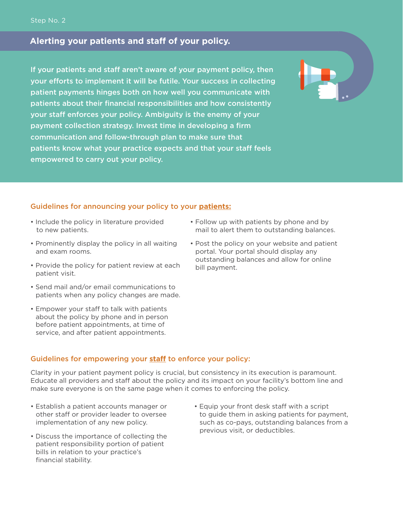# **Alerting your patients and staff of your policy.**

If your patients and staff aren't aware of your payment policy, then your efforts to implement it will be futile. Your success in collecting patient payments hinges both on how well you communicate with patients about their financial responsibilities and how consistently your staff enforces your policy. Ambiguity is the enemy of your payment collection strategy. Invest time in developing a firm communication and follow-through plan to make sure that patients know what your practice expects and that your staff feels empowered to carry out your policy.

## Guidelines for announcing your policy to your **patients:**

- Include the policy in literature provided to new patients.
- Prominently display the policy in all waiting and exam rooms.
- Provide the policy for patient review at each patient visit.
- Send mail and/or email communications to patients when any policy changes are made.
- Empower your staff to talk with patients about the policy by phone and in person before patient appointments, at time of service, and after patient appointments.
- Follow up with patients by phone and by mail to alert them to outstanding balances.
- Post the policy on your website and patient portal. Your portal should display any outstanding balances and allow for online bill payment.

## Guidelines for empowering your **staff** to enforce your policy:

Clarity in your patient payment policy is crucial, but consistency in its execution is paramount. Educate all providers and staff about the policy and its impact on your facility's bottom line and make sure everyone is on the same page when it comes to enforcing the policy.

- Establish a patient accounts manager or other staff or provider leader to oversee implementation of any new policy.
- Discuss the importance of collecting the patient responsibility portion of patient bills in relation to your practice's financial stability.
- Equip your front desk staff with a script to guide them in asking patients for payment, such as co-pays, outstanding balances from a previous visit, or deductibles.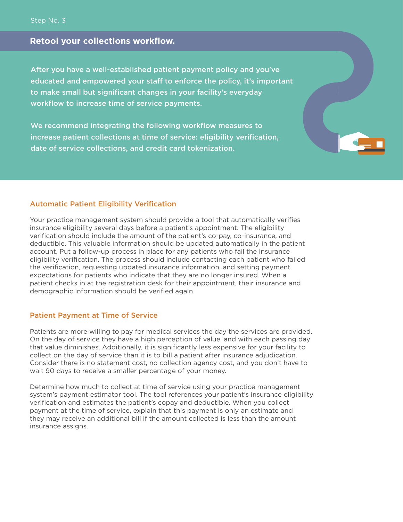# **Retool your collections workflow.**

After you have a well-established patient payment policy and you've educated and empowered your staff to enforce the policy, it's important to make small but significant changes in your facility's everyday workflow to increase time of service payments.

We recommend integrating the following workflow measures to increase patient collections at time of service: eligibility verification, date of service collections, and credit card tokenization.

## Automatic Patient Eligibility Verification

Your practice management system should provide a tool that automatically verifies insurance eligibility several days before a patient's appointment. The eligibility verification should include the amount of the patient's co-pay, co-insurance, and deductible. This valuable information should be updated automatically in the patient account. Put a follow-up process in place for any patients who fail the insurance eligibility verification. The process should include contacting each patient who failed the verification, requesting updated insurance information, and setting payment expectations for patients who indicate that they are no longer insured. When a patient checks in at the registration desk for their appointment, their insurance and demographic information should be verified again.

## Patient Payment at Time of Service

Patients are more willing to pay for medical services the day the services are provided. On the day of service they have a high perception of value, and with each passing day that value diminishes. Additionally, it is significantly less expensive for your facility to collect on the day of service than it is to bill a patient after insurance adjudication. Consider there is no statement cost, no collection agency cost, and you don't have to wait 90 days to receive a smaller percentage of your money.

Determine how much to collect at time of service using your practice management system's payment estimator tool. The tool references your patient's insurance eligibility verification and estimates the patient's copay and deductible. When you collect payment at the time of service, explain that this payment is only an estimate and they may receive an additional bill if the amount collected is less than the amount insurance assigns.